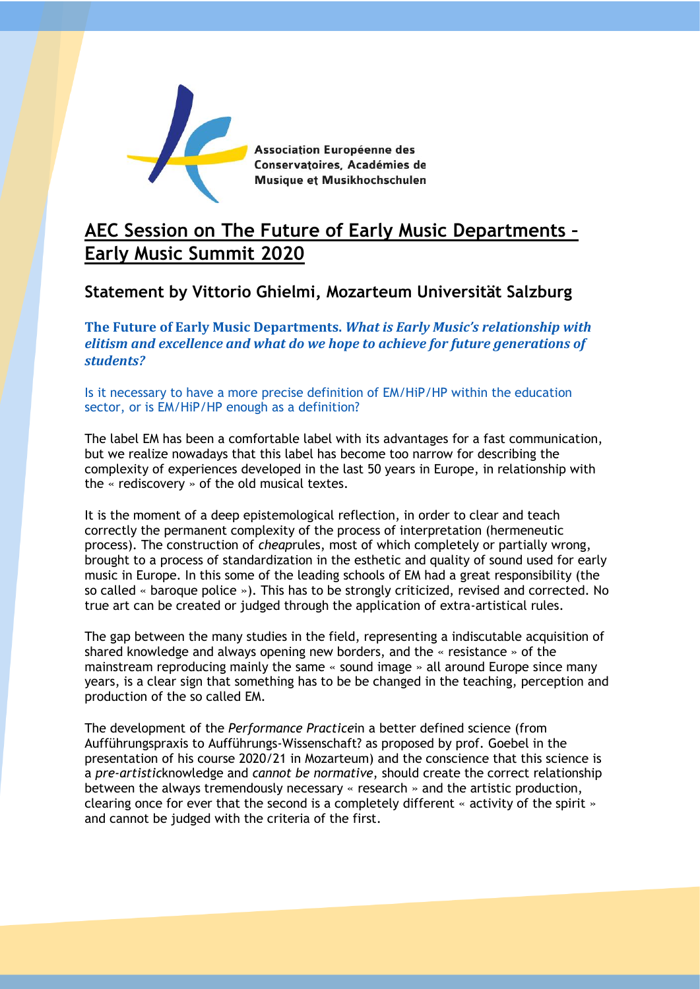

Association Européenne des Conservatoires, Académies de Musique et Musikhochschulen

## **AEC Session on The Future of Early Music Departments – Early Music Summit 2020**

## **Statement by Vittorio Ghielmi, Mozarteum Universität Salzburg**

**The Future of Early Music Departments.** *What is Early Music's relationship with elitism and excellence and what do we hope to achieve for future generations of students?*

Is it necessary to have a more precise definition of EM/HiP/HP within the education sector, or is EM/HiP/HP enough as a definition?

The label EM has been a comfortable label with its advantages for a fast communication, but we realize nowadays that this label has become too narrow for describing the complexity of experiences developed in the last 50 years in Europe, in relationship with the « rediscovery » of the old musical textes.

It is the moment of a deep epistemological reflection, in order to clear and teach correctly the permanent complexity of the process of interpretation (hermeneutic process). The construction of *cheap*rules, most of which completely or partially wrong, brought to a process of standardization in the esthetic and quality of sound used for early music in Europe. In this some of the leading schools of EM had a great responsibility (the so called « baroque police »). This has to be strongly criticized, revised and corrected. No true art can be created or judged through the application of extra-artistical rules.

The gap between the many studies in the field, representing a indiscutable acquisition of shared knowledge and always opening new borders, and the « resistance » of the mainstream reproducing mainly the same « sound image » all around Europe since many years, is a clear sign that something has to be be changed in the teaching, perception and production of the so called EM.

The development of the *Performance Practice*in a better defined science (from Aufführungspraxis to Aufführungs-Wissenschaft? as proposed by prof. Goebel in the presentation of his course 2020/21 in Mozarteum) and the conscience that this science is a *pre-artistic*knowledge and *cannot be normative*, should create the correct relationship between the always tremendously necessary « research » and the artistic production, clearing once for ever that the second is a completely different « activity of the spirit » and cannot be judged with the criteria of the first.